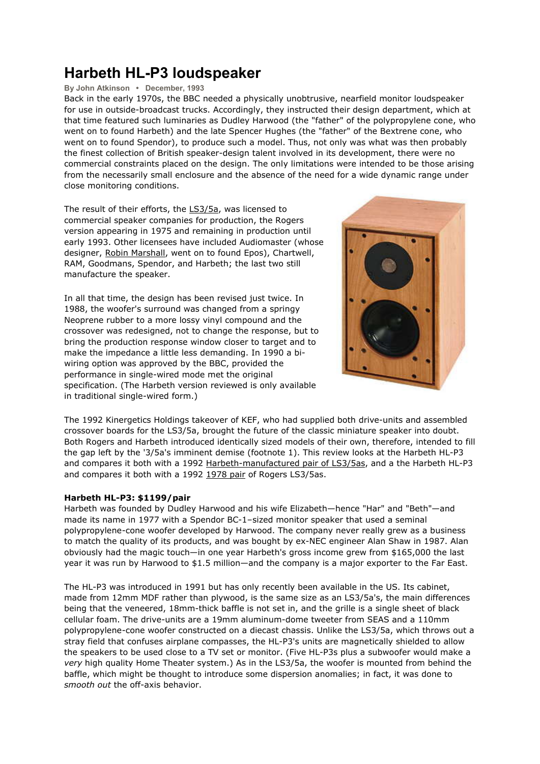# **Harbeth HL-P3 loudspeaker**

## **By John Atkinson • December, 1993**

Back in the early 1970s, the BBC needed a physically unobtrusive, nearfield monitor loudspeaker for use in outside-broadcast trucks. Accordingly, they instructed their design department, which at that time featured such luminaries as Dudley Harwood (the "father" of the polypropylene cone, who went on to found Harbeth) and the late Spencer Hughes (the "father" of the Bextrene cone, who went on to found Spendor), to produce such a model. Thus, not only was what was then probably the finest collection of British speaker-design talent involved in its development, there were no commercial constraints placed on the design. The only limitations were intended to be those arising from the necessarily small enclosure and the absence of the need for a wide dynamic range under close monitoring conditions.

The result of their efforts, the LS3/5a, was licensed to commercial speaker companies for production, the Rogers version appearing in 1975 and remaining in production until early 1993. Other licensees have included Audiomaster (whose designer, Robin Marshall, went on to found Epos), Chartwell, RAM, Goodmans, Spendor, and Harbeth; the last two still manufacture the speaker.

In all that time, the design has been revised just twice. In 1988, the woofer's surround was changed from a springy Neoprene rubber to a more lossy vinyl compound and the crossover was redesigned, not to change the response, but to bring the production response window closer to target and to make the impedance a little less demanding. In 1990 a bi wiring option was approved by the BBC, provided the performance in single-wired mode met the original specification. (The Harbeth version reviewed is only available in traditional single-wired form.)



The 1992 Kinergetics Holdings takeover of KEF, who had supplied both drive-units and assembled crossover boards for the LS3/5a, brought the future of the classic miniature speaker into doubt. Both Rogers and Harbeth introduced identically sized models of their own, therefore, intended to fill the gap left by the '3/5a's imminent demise (footnote 1). This review looks at the Harbeth HL-P3 and compares it both with a 1992 Harbeth-manufactured pair of LS3/5as, and a the Harbeth HL-P3 and compares it both with a 1992 1978 pair of Rogers LS3/5as.

## **Harbeth HL-P3: \$1199/pair**

Harbeth was founded by Dudley Harwood and his wife Elizabeth—hence "Har" and "Beth"—and made its name in 1977 with a Spendor BC-1–sized monitor speaker that used a seminal polypropylene-cone woofer developed by Harwood. The company never really grew as a business to match the quality of its products, and was bought by ex-NEC engineer Alan Shaw in 1987. Alan obviously had the magic touch—in one year Harbeth's gross income grew from \$165,000 the last year it was run by Harwood to \$1.5 million—and the company is a major exporter to the Far East.

The HL-P3 was introduced in 1991 but has only recently been available in the US. Its cabinet, made from 12mm MDF rather than plywood, is the same size as an LS3/5a's, the main differences being that the veneered, 18mm-thick baffle is not set in, and the grille is a single sheet of black cellular foam. The drive-units are a 19mm aluminum-dome tweeter from SEAS and a 110mm polypropylene-cone woofer constructed on a diecast chassis. Unlike the LS3/5a, which throws out a stray field that confuses airplane compasses, the HL-P3's units are magnetically shielded to allow the speakers to be used close to a TV set or monitor. (Five HL-P3s plus a subwoofer would make a *very* high quality Home Theater system.) As in the LS3/5a, the woofer is mounted from behind the baffle, which might be thought to introduce some dispersion anomalies; in fact, it was done to *smooth out* the off-axis behavior.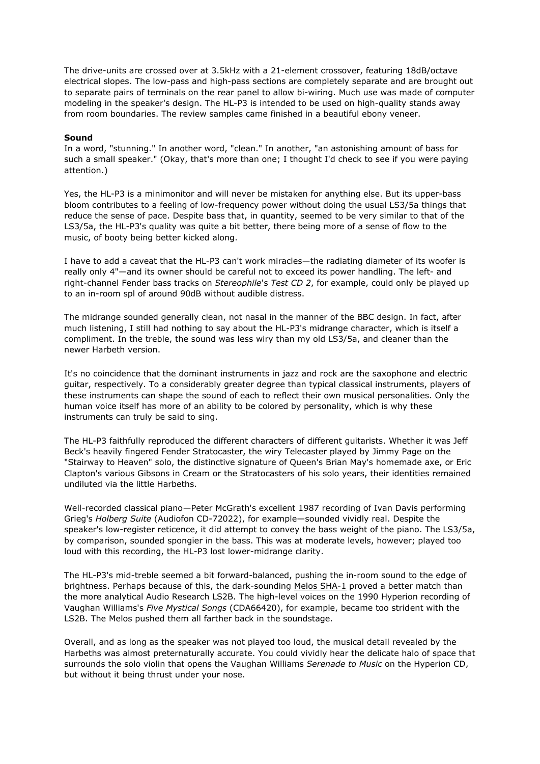The drive-units are crossed over at 3.5kHz with a 21-element crossover, featuring 18dB/octave electrical slopes. The low-pass and high-pass sections are completely separate and are brought out to separate pairs of terminals on the rear panel to allow bi-wiring. Much use was made of computer modeling in the speaker's design. The HL-P3 is intended to be used on high-quality stands away from room boundaries. The review samples came finished in a beautiful ebony veneer.

### **Sound**

In a word, "stunning." In another word, "clean." In another, "an astonishing amount of bass for such a small speaker." (Okay, that's more than one; I thought I'd check to see if you were paying attention.)

Yes, the HL-P3 is a minimonitor and will never be mistaken for anything else. But its upper-bass bloom contributes to a feeling of low-frequency power without doing the usual LS3/5a things that reduce the sense of pace. Despite bass that, in quantity, seemed to be very similar to that of the LS3/5a, the HL-P3's quality was quite a bit better, there being more of a sense of flow to the music, of booty being better kicked along.

I have to add a caveat that the HL-P3 can't work miracles—the radiating diameter of its woofer is really only 4"—and its owner should be careful not to exceed its power handling. The left- and right-channel Fender bass tracks on *Stereophile*'s *Test CD 2*, for example, could only be played up to an in-room spl of around 90dB without audible distress.

The midrange sounded generally clean, not nasal in the manner of the BBC design. In fact, after much listening, I still had nothing to say about the HL-P3's midrange character, which is itself a compliment. In the treble, the sound was less wiry than my old LS3/5a, and cleaner than the newer Harbeth version.

It's no coincidence that the dominant instruments in jazz and rock are the saxophone and electric guitar, respectively. To a considerably greater degree than typical classical instruments, players of these instruments can shape the sound of each to reflect their own musical personalities. Only the human voice itself has more of an ability to be colored by personality, which is why these instruments can truly be said to sing.

The HL-P3 faithfully reproduced the different characters of different guitarists. Whether it was Jeff Beck's heavily fingered Fender Stratocaster, the wiry Telecaster played by Jimmy Page on the "Stairway to Heaven" solo, the distinctive signature of Queen's Brian May's homemade axe, or Eric Clapton's various Gibsons in Cream or the Stratocasters of his solo years, their identities remained undiluted via the little Harbeths.

Well-recorded classical piano—Peter McGrath's excellent 1987 recording of Ivan Davis performing Grieg's *Holberg Suite* (Audiofon CD-72022), for example—sounded vividly real. Despite the speaker's low-register reticence, it did attempt to convey the bass weight of the piano. The LS3/5a, by comparison, sounded spongier in the bass. This was at moderate levels, however; played too loud with this recording, the HL-P3 lost lower-midrange clarity.

The HL-P3's mid-treble seemed a bit forward-balanced, pushing the in-room sound to the edge of brightness. Perhaps because of this, the dark-sounding Melos SHA-1 proved a better match than the more analytical Audio Research LS2B. The high-level voices on the 1990 Hyperion recording of Vaughan Williams's *Five Mystical Songs* (CDA66420), for example, became too strident with the LS2B. The Melos pushed them all farther back in the soundstage.

Overall, and as long as the speaker was not played too loud, the musical detail revealed by the Harbeths was almost preternaturally accurate. You could vividly hear the delicate halo of space that surrounds the solo violin that opens the Vaughan Williams *Serenade to Music* on the Hyperion CD, but without it being thrust under your nose.